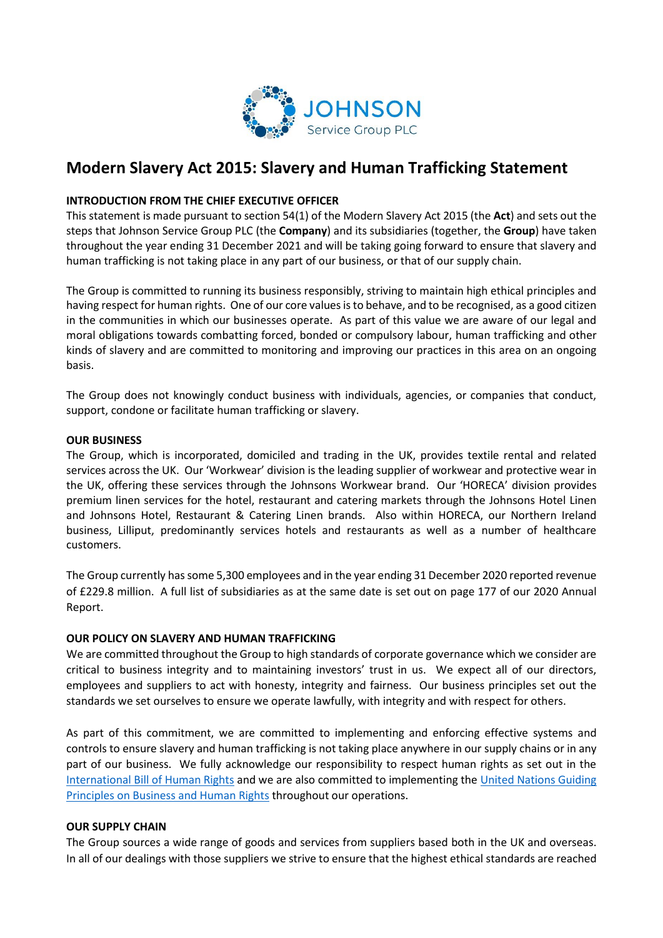

# **Modern Slavery Act 2015: Slavery and Human Trafficking Statement**

## **INTRODUCTION FROM THE CHIEF EXECUTIVE OFFICER**

This statement is made pursuant to section 54(1) of the Modern Slavery Act 2015 (the **Act**) and sets out the steps that Johnson Service Group PLC (the **Company**) and its subsidiaries (together, the **Group**) have taken throughout the year ending 31 December 2021 and will be taking going forward to ensure that slavery and human trafficking is not taking place in any part of our business, or that of our supply chain.

The Group is committed to running its business responsibly, striving to maintain high ethical principles and having respect for human rights. One of our core values is to behave, and to be recognised, as a good citizen in the communities in which our businesses operate. As part of this value we are aware of our legal and moral obligations towards combatting forced, bonded or compulsory labour, human trafficking and other kinds of slavery and are committed to monitoring and improving our practices in this area on an ongoing basis.

The Group does not knowingly conduct business with individuals, agencies, or companies that conduct, support, condone or facilitate human trafficking or slavery.

### **OUR BUSINESS**

The Group, which is incorporated, domiciled and trading in the UK, provides textile rental and related services across the UK. Our 'Workwear' division is the leading supplier of workwear and protective wear in the UK, offering these services through the Johnsons Workwear brand. Our 'HORECA' division provides premium linen services for the hotel, restaurant and catering markets through the Johnsons Hotel Linen and Johnsons Hotel, Restaurant & Catering Linen brands. Also within HORECA, our Northern Ireland business, Lilliput, predominantly services hotels and restaurants as well as a number of healthcare customers.

The Group currently has some 5,300 employees and in the year ending 31 December 2020 reported revenue of £229.8 million. A full list of subsidiaries as at the same date is set out on page 177 of our 2020 Annual Report.

### **OUR POLICY ON SLAVERY AND HUMAN TRAFFICKING**

We are committed throughout the Group to high standards of corporate governance which we consider are critical to business integrity and to maintaining investors' trust in us. We expect all of our directors, employees and suppliers to act with honesty, integrity and fairness. Our business principles set out the standards we set ourselves to ensure we operate lawfully, with integrity and with respect for others.

As part of this commitment, we are committed to implementing and enforcing effective systems and controls to ensure slavery and human trafficking is not taking place anywhere in our supply chains or in any part of our business. We fully acknowledge our responsibility to respect human rights as set out in the [International Bill of Human Rights](http://www.ohchr.org/Documents/Publications/Compilation1.1en.pdf) and we are also committed to implementing the [United Nations Guiding](http://www.ohchr.org/Documents/Publications/GuidingPrinciplesBusinessHR_EN.pdf)  [Principles on Business and Human Rights](http://www.ohchr.org/Documents/Publications/GuidingPrinciplesBusinessHR_EN.pdf) throughout our operations.

### **OUR SUPPLY CHAIN**

The Group sources a wide range of goods and services from suppliers based both in the UK and overseas. In all of our dealings with those suppliers we strive to ensure that the highest ethical standards are reached